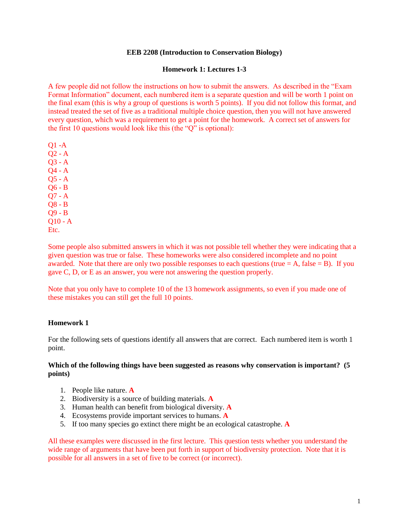#### **EEB 2208 (Introduction to Conservation Biology)**

#### **Homework 1: Lectures 1-3**

A few people did not follow the instructions on how to submit the answers. As described in the "Exam Format Information" document, each numbered item is a separate question and will be worth 1 point on the final exam (this is why a group of questions is worth 5 points). If you did not follow this format, and instead treated the set of five as a traditional multiple choice question, then you will not have answered every question, which was a requirement to get a point for the homework. A correct set of answers for the first 10 questions would look like this (the "Q" is optional):

Q1 -A Q2 - A Q3 - A Q4 - A Q5 - A Q6 - B Q7 - A Q8 - B Q9 - B  $O10 - A$ Etc.

Some people also submitted answers in which it was not possible tell whether they were indicating that a given question was true or false. These homeworks were also considered incomplete and no point awarded. Note that there are only two possible responses to each questions (true  $= A$ , false  $= B$ ). If you gave C, D, or E as an answer, you were not answering the question properly.

Note that you only have to complete 10 of the 13 homework assignments, so even if you made one of these mistakes you can still get the full 10 points.

#### **Homework 1**

For the following sets of questions identify all answers that are correct. Each numbered item is worth 1 point.

#### **Which of the following things have been suggested as reasons why conservation is important? (5 points)**

- 1. People like nature. **A**
- 2. Biodiversity is a source of building materials. **A**
- 3. Human health can benefit from biological diversity. **A**
- 4. Ecosystems provide important services to humans. **A**
- 5. If too many species go extinct there might be an ecological catastrophe. **A**

All these examples were discussed in the first lecture. This question tests whether you understand the wide range of arguments that have been put forth in support of biodiversity protection. Note that it is possible for all answers in a set of five to be correct (or incorrect).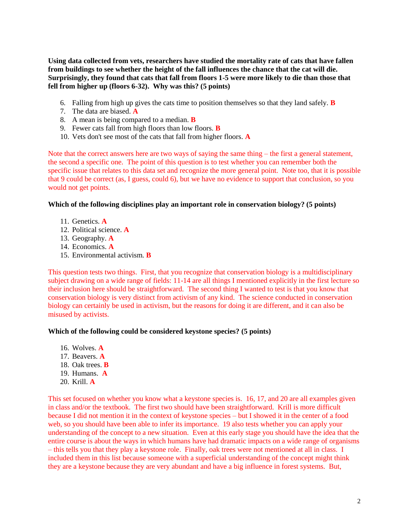**Using data collected from vets, researchers have studied the mortality rate of cats that have fallen from buildings to see whether the height of the fall influences the chance that the cat will die. Surprisingly, they found that cats that fall from floors 1-5 were more likely to die than those that fell from higher up (floors 6-32). Why was this? (5 points)**

- 6. Falling from high up gives the cats time to position themselves so that they land safely. **B**
- 7. The data are biased. **A**
- 8. A mean is being compared to a median. **B**
- 9. Fewer cats fall from high floors than low floors. **B**
- 10. Vets don't see most of the cats that fall from higher floors. **A**

Note that the correct answers here are two ways of saying the same thing – the first a general statement, the second a specific one. The point of this question is to test whether you can remember both the specific issue that relates to this data set and recognize the more general point. Note too, that it is possible that 9 could be correct (as, I guess, could 6), but we have no evidence to support that conclusion, so you would not get points.

## **Which of the following disciplines play an important role in conservation biology? (5 points)**

- 11. Genetics. **A**
- 12. Political science. **A**
- 13. Geography. **A**
- 14. Economics. **A**
- 15. Environmental activism. **B**

This question tests two things. First, that you recognize that conservation biology is a multidisciplinary subject drawing on a wide range of fields: 11-14 are all things I mentioned explicitly in the first lecture so their inclusion here should be straightforward. The second thing I wanted to test is that you know that conservation biology is very distinct from activism of any kind. The science conducted in conservation biology can certainly be used in activism, but the reasons for doing it are different, and it can also be misused by activists.

## **Which of the following could be considered keystone species? (5 points)**

- 16. Wolves. **A**
- 17. Beavers. **A**
- 18. Oak trees. **B**
- 19. Humans. **A**
- 20. Krill. **A**

This set focused on whether you know what a keystone species is. 16, 17, and 20 are all examples given in class and/or the textbook. The first two should have been straightforward. Krill is more difficult because I did not mention it in the context of keystone species – but I showed it in the center of a food web, so you should have been able to infer its importance. 19 also tests whether you can apply your understanding of the concept to a new situation. Even at this early stage you should have the idea that the entire course is about the ways in which humans have had dramatic impacts on a wide range of organisms – this tells you that they play a keystone role. Finally, oak trees were not mentioned at all in class. I included them in this list because someone with a superficial understanding of the concept might think they are a keystone because they are very abundant and have a big influence in forest systems. But,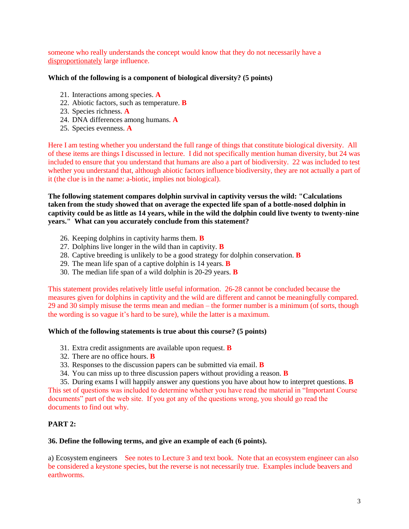someone who really understands the concept would know that they do not necessarily have a disproportionately large influence.

# **Which of the following is a component of biological diversity? (5 points)**

- 21. Interactions among species. **A**
- 22. Abiotic factors, such as temperature. **B**
- 23. Species richness. **A**
- 24. DNA differences among humans. **A**
- 25. Species evenness. **A**

Here I am testing whether you understand the full range of things that constitute biological diversity. All of these items are things I discussed in lecture. I did not specifically mention human diversity, but 24 was included to ensure that you understand that humans are also a part of biodiversity. 22 was included to test whether you understand that, although abiotic factors influence biodiversity, they are not actually a part of it (the clue is in the name: a-biotic, implies not biological).

**The following statement compares dolphin survival in captivity versus the wild: "Calculations taken from the study showed that on average the expected life span of a bottle-nosed dolphin in captivity could be as little as 14 years, while in the wild the dolphin could live twenty to twenty-nine years." What can you accurately conclude from this statement?**

- 26. Keeping dolphins in captivity harms them. **B**
- 27. Dolphins live longer in the wild than in captivity. **B**
- 28. Captive breeding is unlikely to be a good strategy for dolphin conservation. **B**
- 29. The mean life span of a captive dolphin is 14 years. **B**
- 30. The median life span of a wild dolphin is 20-29 years. **B**

This statement provides relatively little useful information. 26-28 cannot be concluded because the measures given for dolphins in captivity and the wild are different and cannot be meaningfully compared. 29 and 30 simply misuse the terms mean and median – the former number is a minimum (of sorts, though the wording is so vague it's hard to be sure), while the latter is a maximum.

## **Which of the following statements is true about this course? (5 points)**

- 31. Extra credit assignments are available upon request. **B**
- 32. There are no office hours. **B**
- 33. Responses to the discussion papers can be submitted via email. **B**
- 34. You can miss up to three discussion papers without providing a reason. **B**

35. During exams I will happily answer any questions you have about how to interpret questions. **B** This set of questions was included to determine whether you have read the material in "Important Course documents" part of the web site. If you got any of the questions wrong, you should go read the documents to find out why.

# **PART 2:**

## **36. Define the following terms, and give an example of each (6 points).**

a) Ecosystem engineers See notes to Lecture 3 and text book. Note that an ecosystem engineer can also be considered a keystone species, but the reverse is not necessarily true. Examples include beavers and earthworms.